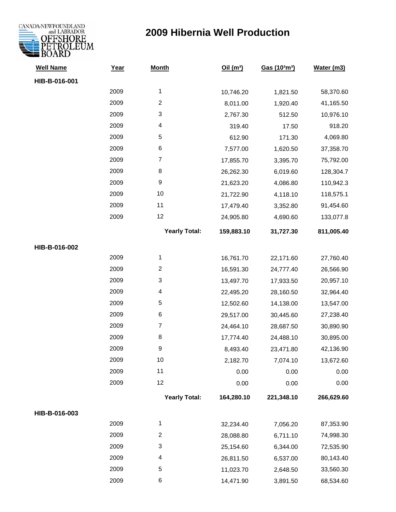

| <b>Well Name</b> | Year | <b>Month</b>         | Oil(m <sup>3</sup> ) | Gas (103m3) | Water (m3) |
|------------------|------|----------------------|----------------------|-------------|------------|
| HIB-B-016-001    |      |                      |                      |             |            |
|                  | 2009 | $\mathbf{1}$         | 10,746.20            | 1,821.50    | 58,370.60  |
|                  | 2009 | $\overline{c}$       | 8,011.00             | 1,920.40    | 41,165.50  |
|                  | 2009 | 3                    | 2,767.30             | 512.50      | 10,976.10  |
|                  | 2009 | 4                    | 319.40               | 17.50       | 918.20     |
|                  | 2009 | 5                    | 612.90               | 171.30      | 4,069.80   |
|                  | 2009 | 6                    | 7,577.00             | 1,620.50    | 37,358.70  |
|                  | 2009 | $\boldsymbol{7}$     | 17,855.70            | 3,395.70    | 75,792.00  |
|                  | 2009 | 8                    | 26,262.30            | 6,019.60    | 128,304.7  |
|                  | 2009 | $\boldsymbol{9}$     | 21,623.20            | 4,086.80    | 110,942.3  |
|                  | 2009 | 10                   | 21,722.90            | 4,118.10    | 118,575.1  |
|                  | 2009 | 11                   | 17,479.40            | 3,352.80    | 91,454.60  |
|                  | 2009 | 12                   | 24,905.80            | 4,690.60    | 133,077.8  |
|                  |      | <b>Yearly Total:</b> | 159,883.10           | 31,727.30   | 811,005.40 |
| HIB-B-016-002    |      |                      |                      |             |            |
|                  | 2009 | 1                    | 16,761.70            | 22,171.60   | 27,760.40  |
|                  | 2009 | $\overline{c}$       | 16,591.30            | 24,777.40   | 26,566.90  |
|                  | 2009 | 3                    | 13,497.70            | 17,933.50   | 20,957.10  |
|                  | 2009 | 4                    | 22,495.20            | 28,160.50   | 32,964.40  |
|                  | 2009 | $\mathbf 5$          | 12,502.60            | 14,138.00   | 13,547.00  |
|                  | 2009 | 6                    | 29,517.00            | 30,445.60   | 27,238.40  |
|                  | 2009 | $\overline{7}$       | 24,464.10            | 28,687.50   | 30,890.90  |
|                  | 2009 | 8                    | 17,774.40            | 24,488.10   | 30,895.00  |
|                  | 2009 | 9                    | 8,493.40             | 23,471.80   | 42,136.90  |
|                  | 2009 | 10                   | 2,182.70             | 7,074.10    | 13,672.60  |
|                  | 2009 | 11                   | 0.00                 | 0.00        | 0.00       |
|                  | 2009 | 12                   | 0.00                 | 0.00        | 0.00       |
|                  |      | <b>Yearly Total:</b> | 164,280.10           | 221,348.10  | 266,629.60 |
| HIB-B-016-003    |      |                      |                      |             |            |
|                  | 2009 | 1                    | 32,234.40            | 7,056.20    | 87,353.90  |
|                  | 2009 | $\overline{c}$       | 28,088.80            | 6,711.10    | 74,998.30  |
|                  | 2009 | 3                    | 25,154.60            | 6,344.00    | 72,535.90  |
|                  | 2009 | 4                    | 26,811.50            | 6,537.00    | 80,143.40  |
|                  | 2009 | 5                    | 11,023.70            | 2,648.50    | 33,560.30  |
|                  | 2009 | 6                    | 14,471.90            | 3,891.50    | 68,534.60  |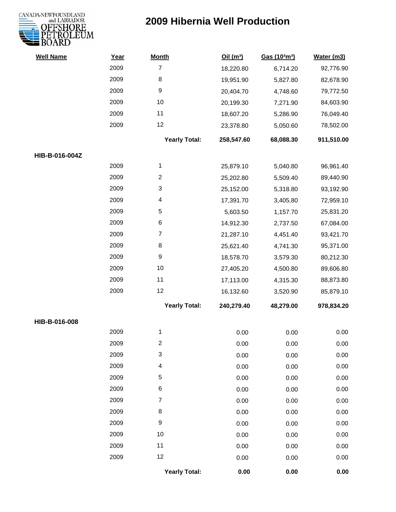

| <b>Well Name</b> | Year | <b>Month</b>         | Oil(m <sup>3</sup> ) | Gas (103m3) | Water (m3) |
|------------------|------|----------------------|----------------------|-------------|------------|
|                  | 2009 | $\overline{7}$       | 18,220.80            | 6,714.20    | 92,776.90  |
|                  | 2009 | 8                    | 19,951.90            | 5,827.80    | 82,678.90  |
|                  | 2009 | 9                    | 20,404.70            | 4,748.60    | 79,772.50  |
|                  | 2009 | 10                   | 20,199.30            | 7,271.90    | 84,603.90  |
|                  | 2009 | 11                   | 18,607.20            | 5,286.90    | 76,049.40  |
|                  | 2009 | 12                   | 23,378.80            | 5,050.60    | 78,502.00  |
|                  |      | <b>Yearly Total:</b> | 258,547.60           | 68,088.30   | 911,510.00 |
| HIB-B-016-004Z   |      |                      |                      |             |            |
|                  | 2009 | 1                    | 25,879.10            | 5,040.80    | 96,961.40  |
|                  | 2009 | $\overline{c}$       | 25,202.80            | 5,509.40    | 89,440.90  |
|                  | 2009 | 3                    | 25,152.00            | 5,318.80    | 93,192.90  |
|                  | 2009 | 4                    | 17,391.70            | 3,405.80    | 72,959.10  |
|                  | 2009 | 5                    | 5,603.50             | 1,157.70    | 25,831.20  |
|                  | 2009 | 6                    | 14,912.30            | 2,737.50    | 67,084.00  |
|                  | 2009 | $\overline{7}$       | 21,287.10            | 4,451.40    | 93,421.70  |
|                  | 2009 | 8                    | 25,621.40            | 4,741.30    | 95,371.00  |
|                  | 2009 | $\boldsymbol{9}$     | 18,578.70            | 3,579.30    | 80,212.30  |
|                  | 2009 | $10$                 | 27,405.20            | 4,500.80    | 89,606.80  |
|                  | 2009 | 11                   | 17,113.00            | 4,315.30    | 88,873.80  |
|                  | 2009 | 12                   | 16,132.60            | 3,520.90    | 85,879.10  |
|                  |      | <b>Yearly Total:</b> | 240,279.40           | 48,279.00   | 978,834.20 |
| HIB-B-016-008    |      |                      |                      |             |            |
|                  | 2009 | 1                    | 0.00                 | 0.00        | 0.00       |
|                  | 2009 | 2                    | 0.00                 | 0.00        | 0.00       |
|                  | 2009 | 3                    | 0.00                 | 0.00        | 0.00       |
|                  | 2009 | 4                    | 0.00                 | 0.00        | 0.00       |
|                  | 2009 | 5                    | 0.00                 | 0.00        | 0.00       |
|                  | 2009 | 6                    | 0.00                 | 0.00        | 0.00       |
|                  | 2009 | 7                    | 0.00                 | 0.00        | 0.00       |
|                  | 2009 | 8                    | 0.00                 | 0.00        | 0.00       |
|                  | 2009 | $\boldsymbol{9}$     | 0.00                 | 0.00        | 0.00       |
|                  | 2009 | 10                   | 0.00                 | 0.00        | 0.00       |
|                  | 2009 | 11                   | 0.00                 | 0.00        | 0.00       |
|                  | 2009 | 12                   | 0.00                 | 0.00        | 0.00       |
|                  |      | <b>Yearly Total:</b> | 0.00                 | 0.00        | 0.00       |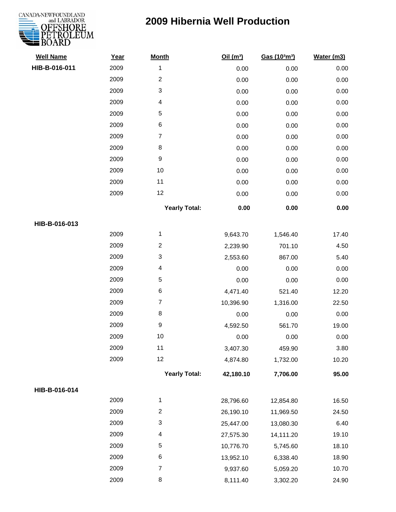# CANADA-NEWFOUNDLAND

| <b>Well Name</b> | Year | <b>Month</b>         | Oil(m <sup>3</sup> ) | Gas (103m3) | Water (m3) |
|------------------|------|----------------------|----------------------|-------------|------------|
| HIB-B-016-011    | 2009 | $\mathbf 1$          | 0.00                 | 0.00        | 0.00       |
|                  | 2009 | $\overline{c}$       | 0.00                 | 0.00        | 0.00       |
|                  | 2009 | 3                    | 0.00                 | 0.00        | 0.00       |
|                  | 2009 | 4                    | 0.00                 | 0.00        | 0.00       |
|                  | 2009 | 5                    | 0.00                 | 0.00        | 0.00       |
|                  | 2009 | $\,6$                | 0.00                 | 0.00        | 0.00       |
|                  | 2009 | $\overline{7}$       | 0.00                 | 0.00        | 0.00       |
|                  | 2009 | $\,8\,$              | 0.00                 | 0.00        | 0.00       |
|                  | 2009 | $\boldsymbol{9}$     | 0.00                 | 0.00        | 0.00       |
|                  | 2009 | 10                   | 0.00                 | 0.00        | 0.00       |
|                  | 2009 | 11                   | 0.00                 | 0.00        | 0.00       |
|                  | 2009 | 12                   | 0.00                 | 0.00        | 0.00       |
|                  |      | <b>Yearly Total:</b> | 0.00                 | 0.00        | 0.00       |
| HIB-B-016-013    |      |                      |                      |             |            |
|                  | 2009 | $\mathbf{1}$         | 9,643.70             | 1,546.40    | 17.40      |
|                  | 2009 | $\overline{c}$       | 2,239.90             | 701.10      | 4.50       |
|                  | 2009 | 3                    | 2,553.60             | 867.00      | 5.40       |
|                  | 2009 | 4                    | 0.00                 | 0.00        | 0.00       |
|                  | 2009 | 5                    | 0.00                 | 0.00        | 0.00       |
|                  | 2009 | $\,6$                | 4,471.40             | 521.40      | 12.20      |
|                  | 2009 | $\overline{7}$       | 10,396.90            | 1,316.00    | 22.50      |
|                  | 2009 | $\,8\,$              | 0.00                 | 0.00        | 0.00       |
|                  | 2009 | $\boldsymbol{9}$     | 4,592.50             | 561.70      | 19.00      |
|                  | 2009 | 10                   | 0.00                 | 0.00        | 0.00       |
|                  | 2009 | 11                   | 3,407.30             | 459.90      | 3.80       |
|                  | 2009 | 12                   | 4,874.80             | 1,732.00    | 10.20      |
|                  |      | <b>Yearly Total:</b> | 42,180.10            | 7,706.00    | 95.00      |
| HIB-B-016-014    |      |                      |                      |             |            |
|                  | 2009 | $\mathbf 1$          | 28,796.60            | 12,854.80   | 16.50      |
|                  | 2009 | $\overline{c}$       | 26,190.10            | 11,969.50   | 24.50      |
|                  | 2009 | 3                    | 25,447.00            | 13,080.30   | 6.40       |
|                  | 2009 | 4                    | 27,575.30            | 14,111.20   | 19.10      |
|                  | 2009 | 5                    | 10,776.70            | 5,745.60    | 18.10      |
|                  | 2009 | 6                    | 13,952.10            | 6,338.40    | 18.90      |
|                  | 2009 | $\overline{7}$       | 9,937.60             | 5,059.20    | 10.70      |
|                  | 2009 | 8                    | 8,111.40             | 3,302.20    | 24.90      |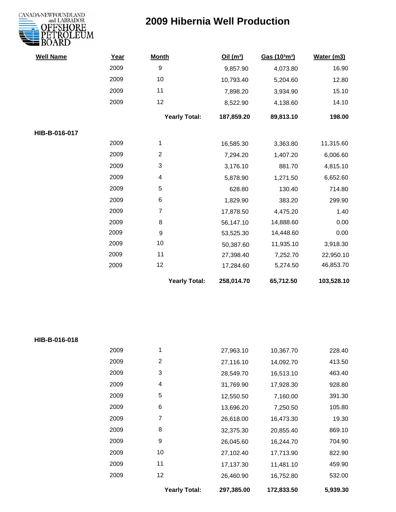

| <b>Well Name</b> | Year | <b>Month</b>         | Oil(m <sup>3</sup> ) | Gas (103m3) | Water (m3) |
|------------------|------|----------------------|----------------------|-------------|------------|
|                  | 2009 | 9                    | 9,857.90             | 4,073.80    | 16.90      |
|                  | 2009 | $10$                 | 10,793.40            | 5,204.60    | 12.80      |
|                  | 2009 | 11                   | 7,898.20             | 3,934.90    | 15.10      |
|                  | 2009 | 12                   | 8,522.90             | 4,138.60    | 14.10      |
|                  |      | <b>Yearly Total:</b> | 187,859.20           | 89,813.10   | 198.00     |
| HIB-B-016-017    |      |                      |                      |             |            |
|                  | 2009 | 1                    | 16,585.30            | 3,363.80    | 11,315.60  |
|                  | 2009 | $\overline{2}$       | 7,294.20             | 1,407.20    | 6,006.60   |
|                  | 2009 | 3                    | 3,176.10             | 881.70      | 4,815.10   |
|                  | 2009 | 4                    | 5,878.90             | 1,271.50    | 6,652.60   |
|                  | 2009 | 5                    | 628.80               | 130.40      | 714.80     |
|                  | 2009 | 6                    | 1,829.90             | 383.20      | 299.90     |
|                  | 2009 | $\overline{7}$       | 17,878.50            | 4,475.20    | 1.40       |
|                  | 2009 | 8                    | 56,147.10            | 14,888.60   | 0.00       |
|                  | 2009 | 9                    | 53,525.30            | 14,448.60   | 0.00       |
|                  | 2009 | 10                   | 50,387.60            | 11,935.10   | 3,918.30   |
|                  | 2009 | 11                   | 27,398.40            | 7,252.70    | 22,950.10  |
|                  | 2009 | 12                   | 17,284.60            | 5,274.50    | 46,853.70  |
|                  |      | <b>Yearly Total:</b> | 258,014.70           | 65,712.50   | 103,528.10 |

| HIB-B-016-018 |  |
|---------------|--|
|---------------|--|

|      | Yearly Total: | 297,385.00 | 172,833.50 | 5.939.30 |
|------|---------------|------------|------------|----------|
| 2009 | 12            | 26,460.90  | 16,752.80  | 532.00   |
| 2009 | 11            | 17,137.30  | 11,481.10  | 459.90   |
| 2009 | 10            | 27,102.40  | 17,713.90  | 822.90   |
| 2009 | 9             | 26,045.60  | 16,244.70  | 704.90   |
| 2009 | 8             | 32,375.30  | 20,855.40  | 869.10   |
| 2009 | 7             | 26,618.00  | 16,473.30  | 19.30    |
| 2009 | 6             | 13,696.20  | 7,250.50   | 105.80   |
| 2009 | 5             | 12,550.50  | 7,160.00   | 391.30   |
| 2009 | 4             | 31,769.90  | 17,928.30  | 928.80   |
| 2009 | 3             | 28,549.70  | 16,513.10  | 463.40   |
| 2009 | 2             | 27,116.10  | 14,092.70  | 413.50   |
| 2009 | 1             | 27,963.10  | 10,367.70  | 228.40   |
|      |               |            |            |          |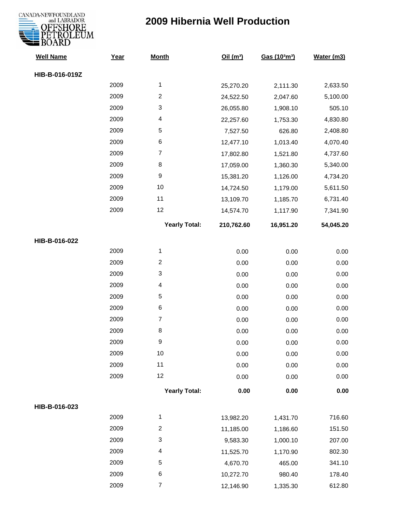

| <b>Well Name</b> | Year | <b>Month</b>              | Oil $(m^3)$ | Gas (103m3) | Water (m3) |
|------------------|------|---------------------------|-------------|-------------|------------|
| HIB-B-016-019Z   |      |                           |             |             |            |
|                  | 2009 | $\mathbf{1}$              | 25,270.20   | 2,111.30    | 2,633.50   |
|                  | 2009 | $\boldsymbol{2}$          | 24,522.50   | 2,047.60    | 5,100.00   |
|                  | 2009 | $\ensuremath{\mathsf{3}}$ | 26,055.80   | 1,908.10    | 505.10     |
|                  | 2009 | $\overline{\mathcal{A}}$  | 22,257.60   | 1,753.30    | 4,830.80   |
|                  | 2009 | $\mathbf 5$               | 7,527.50    | 626.80      | 2,408.80   |
|                  | 2009 | $\,6$                     | 12,477.10   | 1,013.40    | 4,070.40   |
|                  | 2009 | $\overline{7}$            | 17,802.80   | 1,521.80    | 4,737.60   |
|                  | 2009 | $\bf 8$                   | 17,059.00   | 1,360.30    | 5,340.00   |
|                  | 2009 | $\boldsymbol{9}$          | 15,381.20   | 1,126.00    | 4,734.20   |
|                  | 2009 | $10$                      | 14,724.50   | 1,179.00    | 5,611.50   |
|                  | 2009 | 11                        | 13,109.70   | 1,185.70    | 6,731.40   |
|                  | 2009 | 12                        | 14,574.70   | 1,117.90    | 7,341.90   |
|                  |      | <b>Yearly Total:</b>      | 210,762.60  | 16,951.20   | 54,045.20  |
| HIB-B-016-022    |      |                           |             |             |            |
|                  | 2009 | $\mathbf{1}$              | 0.00        | 0.00        | 0.00       |
|                  | 2009 | $\boldsymbol{2}$          | 0.00        | 0.00        | 0.00       |
|                  | 2009 | 3                         | 0.00        | 0.00        | 0.00       |
|                  | 2009 | $\overline{\mathcal{A}}$  | 0.00        | 0.00        | 0.00       |
|                  | 2009 | $\mathbf 5$               | 0.00        | 0.00        | 0.00       |
|                  | 2009 | $\,6$                     | 0.00        | 0.00        | 0.00       |
|                  | 2009 | $\boldsymbol{7}$          | 0.00        | 0.00        | 0.00       |
|                  | 2009 | $\bf 8$                   | 0.00        | 0.00        | 0.00       |
|                  | 2009 | 9                         | 0.00        | 0.00        | 0.00       |
|                  | 2009 | 10                        | 0.00        | 0.00        | 0.00       |
|                  | 2009 | 11                        | 0.00        | 0.00        | 0.00       |
|                  | 2009 | 12                        | 0.00        | 0.00        | 0.00       |
|                  |      | <b>Yearly Total:</b>      | 0.00        | 0.00        | 0.00       |
| HIB-B-016-023    |      |                           |             |             |            |
|                  | 2009 | $\mathbf{1}$              | 13,982.20   | 1,431.70    | 716.60     |
|                  | 2009 | $\boldsymbol{2}$          | 11,185.00   | 1,186.60    | 151.50     |
|                  | 2009 | $\ensuremath{\mathsf{3}}$ | 9,583.30    | 1,000.10    | 207.00     |
|                  | 2009 | $\overline{\mathcal{A}}$  | 11,525.70   | 1,170.90    | 802.30     |
|                  | 2009 | $\mathbf 5$               | 4,670.70    | 465.00      | 341.10     |
|                  | 2009 | $\,6$                     | 10,272.70   | 980.40      | 178.40     |
|                  | 2009 | $\boldsymbol{7}$          | 12,146.90   | 1,335.30    | 612.80     |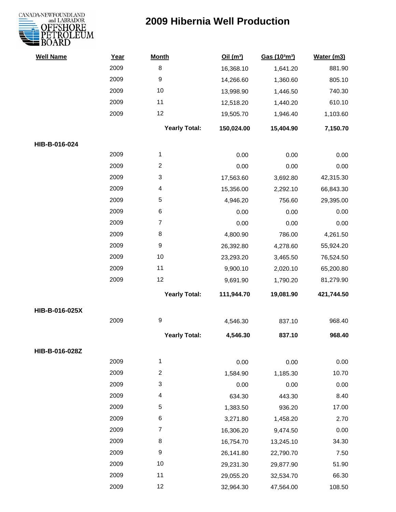

| <b>Well Name</b> | Year | <b>Month</b>         | Oil(m <sup>3</sup> ) | Gas (103m3) | Water (m3) |
|------------------|------|----------------------|----------------------|-------------|------------|
|                  | 2009 | $\,8\,$              | 16,368.10            | 1,641.20    | 881.90     |
|                  | 2009 | $\boldsymbol{9}$     | 14,266.60            | 1,360.60    | 805.10     |
|                  | 2009 | 10                   | 13,998.90            | 1,446.50    | 740.30     |
|                  | 2009 | 11                   | 12,518.20            | 1,440.20    | 610.10     |
|                  | 2009 | 12                   | 19,505.70            | 1,946.40    | 1,103.60   |
|                  |      | <b>Yearly Total:</b> | 150,024.00           | 15,404.90   | 7,150.70   |
| HIB-B-016-024    |      |                      |                      |             |            |
|                  | 2009 | 1                    | 0.00                 | 0.00        | 0.00       |
|                  | 2009 | $\overline{2}$       | 0.00                 | 0.00        | 0.00       |
|                  | 2009 | $\mathbf{3}$         | 17,563.60            | 3,692.80    | 42,315.30  |
|                  | 2009 | 4                    | 15,356.00            | 2,292.10    | 66,843.30  |
|                  | 2009 | $\sqrt{5}$           | 4,946.20             | 756.60      | 29,395.00  |
|                  | 2009 | $\,6$                | 0.00                 | 0.00        | 0.00       |
|                  | 2009 | $\overline{7}$       | 0.00                 | 0.00        | 0.00       |
|                  | 2009 | 8                    | 4,800.90             | 786.00      | 4,261.50   |
|                  | 2009 | $\boldsymbol{9}$     | 26,392.80            | 4,278.60    | 55,924.20  |
|                  | 2009 | 10                   | 23,293.20            | 3,465.50    | 76,524.50  |
|                  | 2009 | 11                   | 9,900.10             | 2,020.10    | 65,200.80  |
|                  | 2009 | 12                   | 9,691.90             | 1,790.20    | 81,279.90  |
|                  |      | <b>Yearly Total:</b> | 111,944.70           | 19,081.90   | 421,744.50 |
| HIB-B-016-025X   |      |                      |                      |             |            |
|                  | 2009 | $\boldsymbol{9}$     | 4,546.30             | 837.10      | 968.40     |
|                  |      | <b>Yearly Total:</b> | 4,546.30             | 837.10      | 968.40     |
| HIB-B-016-028Z   |      |                      |                      |             |            |
|                  | 2009 | $\mathbf{1}$         | 0.00                 | 0.00        | 0.00       |
|                  | 2009 | $\overline{2}$       | 1,584.90             | 1,185.30    | 10.70      |
|                  | 2009 | 3                    | 0.00                 | 0.00        | 0.00       |
|                  | 2009 | 4                    | 634.30               | 443.30      | 8.40       |
|                  | 2009 | 5                    | 1,383.50             | 936.20      | 17.00      |
|                  | 2009 | 6                    | 3,271.80             | 1,458.20    | 2.70       |
|                  | 2009 | $\overline{7}$       | 16,306.20            | 9,474.50    | 0.00       |
|                  | 2009 | 8                    | 16,754.70            | 13,245.10   | 34.30      |
|                  | 2009 | 9                    | 26,141.80            | 22,790.70   | 7.50       |
|                  | 2009 | 10                   | 29,231.30            | 29,877.90   | 51.90      |
|                  | 2009 | 11                   | 29,055.20            | 32,534.70   | 66.30      |
|                  | 2009 | 12                   | 32,964.30            | 47,564.00   | 108.50     |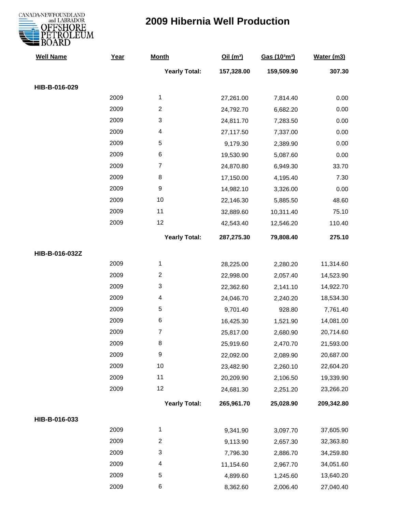

| <b>Well Name</b> | Year | <b>Month</b>            | Oil(m <sup>3</sup> ) | Gas (103m3) | Water (m3) |
|------------------|------|-------------------------|----------------------|-------------|------------|
|                  |      | <b>Yearly Total:</b>    | 157,328.00           | 159,509.90  | 307.30     |
| HIB-B-016-029    |      |                         |                      |             |            |
|                  | 2009 | 1                       | 27,261.00            | 7,814.40    | 0.00       |
|                  | 2009 | $\overline{c}$          | 24,792.70            | 6,682.20    | 0.00       |
|                  | 2009 | 3                       | 24,811.70            | 7,283.50    | 0.00       |
|                  | 2009 | 4                       | 27,117.50            | 7,337.00    | 0.00       |
|                  | 2009 | 5                       | 9,179.30             | 2,389.90    | 0.00       |
|                  | 2009 | 6                       | 19,530.90            | 5,087.60    | 0.00       |
|                  | 2009 | $\overline{7}$          | 24,870.80            | 6,949.30    | 33.70      |
|                  | 2009 | 8                       | 17,150.00            | 4,195.40    | 7.30       |
|                  | 2009 | $\boldsymbol{9}$        | 14,982.10            | 3,326.00    | 0.00       |
|                  | 2009 | 10                      | 22,146.30            | 5,885.50    | 48.60      |
|                  | 2009 | 11                      | 32,889.60            | 10,311.40   | 75.10      |
|                  | 2009 | 12                      | 42,543.40            | 12,546.20   | 110.40     |
|                  |      | <b>Yearly Total:</b>    | 287,275.30           | 79,808.40   | 275.10     |
| HIB-B-016-032Z   |      |                         |                      |             |            |
|                  | 2009 | 1                       | 28,225.00            | 2,280.20    | 11,314.60  |
|                  | 2009 | $\overline{2}$          | 22,998.00            | 2,057.40    | 14,523.90  |
|                  | 2009 | 3                       | 22,362.60            | 2,141.10    | 14,922.70  |
|                  | 2009 | 4                       | 24,046.70            | 2,240.20    | 18,534.30  |
|                  | 2009 | 5                       | 9,701.40             | 928.80      | 7,761.40   |
|                  | 2009 | 6                       | 16,425.30            | 1,521.90    | 14,081.00  |
|                  | 2009 | 7                       | 25,817.00            | 2,680.90    | 20,714.60  |
|                  | 2009 | 8                       | 25,919.60            | 2,470.70    | 21,593.00  |
|                  | 2009 | 9                       | 22,092.00            | 2,089.90    | 20,687.00  |
|                  | 2009 | 10                      | 23,482.90            | 2,260.10    | 22,604.20  |
|                  | 2009 | 11                      | 20,209.90            | 2,106.50    | 19,339.90  |
|                  | 2009 | 12                      | 24,681.30            | 2,251.20    | 23,266.20  |
|                  |      | <b>Yearly Total:</b>    | 265,961.70           | 25,028.90   | 209,342.80 |
| HIB-B-016-033    |      |                         |                      |             |            |
|                  | 2009 | 1                       | 9,341.90             | 3,097.70    | 37,605.90  |
|                  | 2009 | $\overline{\mathbf{c}}$ | 9,113.90             | 2,657.30    | 32,363.80  |
|                  | 2009 | 3                       | 7,796.30             | 2,886.70    | 34,259.80  |
|                  | 2009 | 4                       | 11,154.60            | 2,967.70    | 34,051.60  |
|                  | 2009 | 5                       | 4,899.60             | 1,245.60    | 13,640.20  |
|                  | 2009 | 6                       | 8,362.60             | 2,006.40    | 27,040.40  |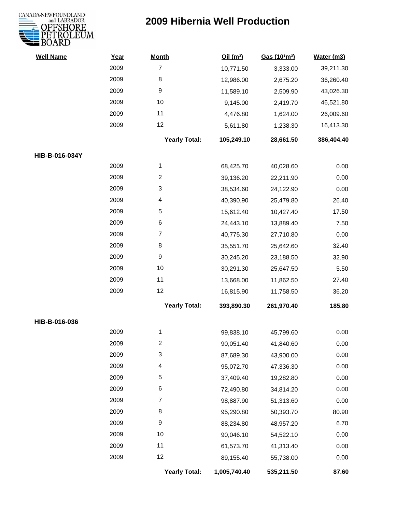

| <b>Well Name</b> | Year | <b>Month</b>         | Oil $(m^3)$  | Gas (103m3) | Water (m3) |
|------------------|------|----------------------|--------------|-------------|------------|
|                  | 2009 | $\overline{7}$       | 10,771.50    | 3,333.00    | 39,211.30  |
|                  | 2009 | 8                    | 12,986.00    | 2,675.20    | 36,260.40  |
|                  | 2009 | 9                    | 11,589.10    | 2,509.90    | 43,026.30  |
|                  | 2009 | 10                   | 9,145.00     | 2,419.70    | 46,521.80  |
|                  | 2009 | 11                   | 4,476.80     | 1,624.00    | 26,009.60  |
|                  | 2009 | 12                   | 5,611.80     | 1,238.30    | 16,413.30  |
|                  |      | <b>Yearly Total:</b> | 105,249.10   | 28,661.50   | 386,404.40 |
| HIB-B-016-034Y   |      |                      |              |             |            |
|                  | 2009 | 1                    | 68,425.70    | 40,028.60   | 0.00       |
|                  | 2009 | $\overline{c}$       | 39,136.20    | 22,211.90   | 0.00       |
|                  | 2009 | 3                    | 38,534.60    | 24,122.90   | 0.00       |
|                  | 2009 | 4                    | 40,390.90    | 25,479.80   | 26.40      |
|                  | 2009 | 5                    | 15,612.40    | 10,427.40   | 17.50      |
|                  | 2009 | 6                    | 24,443.10    | 13,889.40   | 7.50       |
|                  | 2009 | $\overline{7}$       | 40,775.30    | 27,710.80   | 0.00       |
|                  | 2009 | 8                    | 35,551.70    | 25,642.60   | 32.40      |
|                  | 2009 | 9                    | 30,245.20    | 23,188.50   | 32.90      |
|                  | 2009 | 10                   | 30,291.30    | 25,647.50   | 5.50       |
|                  | 2009 | 11                   | 13,668.00    | 11,862.50   | 27.40      |
|                  | 2009 | 12                   | 16,815.90    | 11,758.50   | 36.20      |
|                  |      | <b>Yearly Total:</b> | 393,890.30   | 261,970.40  | 185.80     |
| HIB-B-016-036    |      |                      |              |             |            |
|                  | 2009 | 1                    | 99,838.10    | 45,799.60   | 0.00       |
|                  | 2009 | 2                    | 90,051.40    | 41,840.60   | 0.00       |
|                  | 2009 | 3                    | 87,689.30    | 43,900.00   | 0.00       |
|                  | 2009 | 4                    | 95,072.70    | 47,336.30   | 0.00       |
|                  | 2009 | 5                    | 37,409.40    | 19,282.80   | 0.00       |
|                  | 2009 | 6                    | 72,490.80    | 34,814.20   | 0.00       |
|                  | 2009 | 7                    | 98,887.90    | 51,313.60   | 0.00       |
|                  | 2009 | 8                    | 95,290.80    | 50,393.70   | 80.90      |
|                  | 2009 | 9                    | 88,234.80    | 48,957.20   | 6.70       |
|                  | 2009 | 10                   | 90,046.10    | 54,522.10   | 0.00       |
|                  | 2009 | 11                   | 61,573.70    | 41,313.40   | 0.00       |
|                  | 2009 | 12                   | 89,155.40    | 55,738.00   | 0.00       |
|                  |      | <b>Yearly Total:</b> | 1,005,740.40 | 535,211.50  | 87.60      |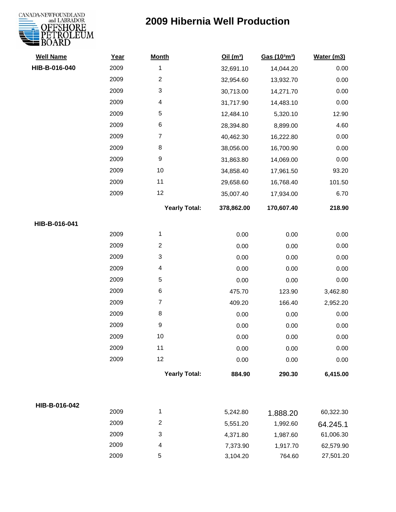

| <b>Well Name</b> | Year | <b>Month</b>              | Oil $(m^3)$ | Gas (103m3) | Water (m3) |
|------------------|------|---------------------------|-------------|-------------|------------|
| HIB-B-016-040    | 2009 | $\mathbf 1$               | 32,691.10   | 14,044.20   | 0.00       |
|                  | 2009 | $\boldsymbol{2}$          | 32,954.60   | 13,932.70   | 0.00       |
|                  | 2009 | $\ensuremath{\mathsf{3}}$ | 30,713.00   | 14,271.70   | 0.00       |
|                  | 2009 | $\overline{\mathbf{4}}$   | 31,717.90   | 14,483.10   | 0.00       |
|                  | 2009 | $\,$ 5 $\,$               | 12,484.10   | 5,320.10    | 12.90      |
|                  | 2009 | $\,6$                     | 28,394.80   | 8,899.00    | 4.60       |
|                  | 2009 | $\overline{7}$            | 40,462.30   | 16,222.80   | 0.00       |
|                  | 2009 | 8                         | 38,056.00   | 16,700.90   | 0.00       |
|                  | 2009 | $\boldsymbol{9}$          | 31,863.80   | 14,069.00   | 0.00       |
|                  | 2009 | 10                        | 34,858.40   | 17,961.50   | 93.20      |
|                  | 2009 | 11                        | 29,658.60   | 16,768.40   | 101.50     |
|                  | 2009 | 12                        | 35,007.40   | 17,934.00   | 6.70       |
|                  |      | <b>Yearly Total:</b>      | 378,862.00  | 170,607.40  | 218.90     |
| HIB-B-016-041    |      |                           |             |             |            |
|                  | 2009 | 1                         | 0.00        | 0.00        | 0.00       |
|                  | 2009 | $\overline{2}$            | 0.00        | 0.00        | 0.00       |
|                  | 2009 | $\ensuremath{\mathsf{3}}$ | 0.00        | 0.00        | 0.00       |
|                  | 2009 | $\overline{\mathbf{4}}$   | 0.00        | 0.00        | 0.00       |
|                  | 2009 | $\sqrt{5}$                | 0.00        | 0.00        | 0.00       |
|                  | 2009 | $\,6$                     | 475.70      | 123.90      | 3,462.80   |
|                  | 2009 | $\overline{7}$            | 409.20      | 166.40      | 2,952.20   |
|                  | 2009 | $\bf 8$                   | 0.00        | 0.00        | 0.00       |
|                  | 2009 | $\boldsymbol{9}$          | 0.00        | 0.00        | 0.00       |
|                  | 2009 | $10$                      | 0.00        | 0.00        | 0.00       |
|                  | 2009 | 11                        | 0.00        | 0.00        | 0.00       |
|                  | 2009 | 12                        | 0.00        | 0.00        | 0.00       |
|                  |      | <b>Yearly Total:</b>      | 884.90      | 290.30      | 6,415.00   |
|                  |      |                           |             |             |            |
| HIB-B-016-042    | 2009 | $\mathbf 1$               | 5,242.80    | 1.888.20    | 60,322.30  |
|                  | 2009 | $\overline{2}$            | 5,551.20    | 1,992.60    | 64.245.1   |
|                  | 2009 | 3                         | 4,371.80    | 1,987.60    | 61,006.30  |
|                  | 2009 | 4                         | 7,373.90    | 1,917.70    | 62,579.90  |
|                  | 2009 | 5                         | 3,104.20    | 764.60      | 27,501.20  |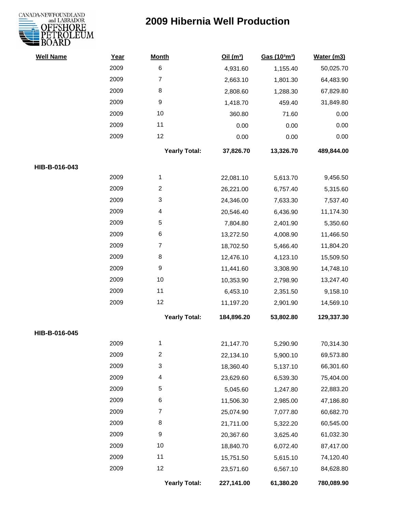

| <b>Well Name</b> | Year | <b>Month</b>         | Oil(m <sup>3</sup> ) | Gas (103m3) | Water (m3) |
|------------------|------|----------------------|----------------------|-------------|------------|
|                  | 2009 | $\,6$                | 4,931.60             | 1,155.40    | 50,025.70  |
|                  | 2009 | $\overline{7}$       | 2,663.10             | 1,801.30    | 64,483.90  |
|                  | 2009 | 8                    | 2,808.60             | 1,288.30    | 67,829.80  |
|                  | 2009 | $\boldsymbol{9}$     | 1,418.70             | 459.40      | 31,849.80  |
|                  | 2009 | 10                   | 360.80               | 71.60       | 0.00       |
|                  | 2009 | 11                   | 0.00                 | 0.00        | 0.00       |
|                  | 2009 | 12                   | 0.00                 | 0.00        | 0.00       |
|                  |      | <b>Yearly Total:</b> | 37,826.70            | 13,326.70   | 489,844.00 |
| HIB-B-016-043    |      |                      |                      |             |            |
|                  | 2009 | $\mathbf{1}$         | 22,081.10            | 5,613.70    | 9,456.50   |
|                  | 2009 | $\overline{c}$       | 26,221.00            | 6,757.40    | 5,315.60   |
|                  | 2009 | 3                    | 24,346.00            | 7,633.30    | 7,537.40   |
|                  | 2009 | 4                    | 20,546.40            | 6,436.90    | 11,174.30  |
|                  | 2009 | 5                    | 7,804.80             | 2,401.90    | 5,350.60   |
|                  | 2009 | 6                    | 13,272.50            | 4,008.90    | 11,466.50  |
|                  | 2009 | 7                    | 18,702.50            | 5,466.40    | 11,804.20  |
|                  | 2009 | 8                    | 12,476.10            | 4,123.10    | 15,509.50  |
|                  | 2009 | 9                    | 11,441.60            | 3,308.90    | 14,748.10  |
|                  | 2009 | 10                   | 10,353.90            | 2,798.90    | 13,247.40  |
|                  | 2009 | 11                   | 6,453.10             | 2,351.50    | 9,158.10   |
|                  | 2009 | 12                   | 11,197.20            | 2,901.90    | 14,569.10  |
|                  |      | <b>Yearly Total:</b> | 184,896.20           | 53,802.80   | 129,337.30 |
| HIB-B-016-045    |      |                      |                      |             |            |
|                  | 2009 | 1                    | 21,147.70            | 5,290.90    | 70,314.30  |
|                  | 2009 | $\overline{c}$       | 22,134.10            | 5,900.10    | 69,573.80  |
|                  | 2009 | 3                    | 18,360.40            | 5,137.10    | 66,301.60  |
|                  | 2009 | 4                    | 23,629.60            | 6,539.30    | 75,404.00  |
|                  | 2009 | 5                    | 5,045.60             | 1,247.80    | 22,883.20  |
|                  | 2009 | 6                    | 11,506.30            | 2,985.00    | 47,186.80  |
|                  | 2009 | 7                    | 25,074.90            | 7,077.80    | 60,682.70  |
|                  | 2009 | 8                    | 21,711.00            | 5,322.20    | 60,545.00  |
|                  | 2009 | 9                    | 20,367.60            | 3,625.40    | 61,032.30  |
|                  | 2009 | 10                   | 18,840.70            | 6,072.40    | 87,417.00  |
|                  | 2009 | 11                   | 15,751.50            | 5,615.10    | 74,120.40  |
|                  | 2009 | 12                   | 23,571.60            | 6,567.10    | 84,628.80  |
|                  |      | <b>Yearly Total:</b> | 227,141.00           | 61,380.20   | 780,089.90 |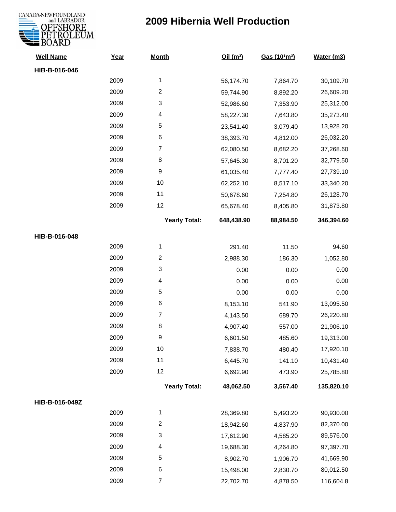

| <b>Well Name</b> | Year | <b>Month</b>              | Oil (m <sup>3</sup> ) | Gas (103m3) | Water (m3) |
|------------------|------|---------------------------|-----------------------|-------------|------------|
| HIB-B-016-046    |      |                           |                       |             |            |
|                  | 2009 | $\mathbf{1}$              | 56,174.70             | 7,864.70    | 30,109.70  |
|                  | 2009 | $\overline{2}$            | 59,744.90             | 8,892.20    | 26,609.20  |
|                  | 2009 | 3                         | 52,986.60             | 7,353.90    | 25,312.00  |
|                  | 2009 | 4                         | 58,227.30             | 7,643.80    | 35,273.40  |
|                  | 2009 | 5                         | 23,541.40             | 3,079.40    | 13,928.20  |
|                  | 2009 | 6                         | 38,393.70             | 4,812.00    | 26,032.20  |
|                  | 2009 | $\overline{7}$            | 62,080.50             | 8,682.20    | 37,268.60  |
|                  | 2009 | 8                         | 57,645.30             | 8,701.20    | 32,779.50  |
|                  | 2009 | $\boldsymbol{9}$          | 61,035.40             | 7,777.40    | 27,739.10  |
|                  | 2009 | 10                        | 62,252.10             | 8,517.10    | 33,340.20  |
|                  | 2009 | 11                        | 50,678.60             | 7,254.80    | 26,128.70  |
|                  | 2009 | 12                        | 65,678.40             | 8,405.80    | 31,873.80  |
|                  |      | <b>Yearly Total:</b>      | 648,438.90            | 88,984.50   | 346,394.60 |
| HIB-B-016-048    |      |                           |                       |             |            |
|                  | 2009 | $\mathbf{1}$              | 291.40                | 11.50       | 94.60      |
|                  | 2009 | $\overline{2}$            | 2,988.30              | 186.30      | 1,052.80   |
|                  | 2009 | $\ensuremath{\mathsf{3}}$ | 0.00                  | 0.00        | 0.00       |
|                  | 2009 | 4                         | 0.00                  | 0.00        | 0.00       |
|                  | 2009 | 5                         | 0.00                  | 0.00        | 0.00       |
|                  | 2009 | $\,6$                     | 8,153.10              | 541.90      | 13,095.50  |
|                  | 2009 | $\overline{7}$            | 4,143.50              | 689.70      | 26,220.80  |
|                  | 2009 | $\,8\,$                   | 4,907.40              | 557.00      | 21,906.10  |
|                  | 2009 | $\boldsymbol{9}$          | 6,601.50              | 485.60      | 19,313.00  |
|                  | 2009 | $10$                      | 7,838.70              | 480.40      | 17,920.10  |
|                  | 2009 | 11                        | 6,445.70              | 141.10      | 10,431.40  |
|                  | 2009 | 12                        | 6,692.90              | 473.90      | 25,785.80  |
|                  |      | <b>Yearly Total:</b>      | 48,062.50             | 3,567.40    | 135,820.10 |
| HIB-B-016-049Z   |      |                           |                       |             |            |
|                  | 2009 | $\mathbf{1}$              | 28,369.80             | 5,493.20    | 90,930.00  |
|                  | 2009 | $\overline{2}$            | 18,942.60             | 4,837.90    | 82,370.00  |
|                  | 2009 | $\ensuremath{\mathsf{3}}$ | 17,612.90             | 4,585.20    | 89,576.00  |
|                  | 2009 | $\overline{\mathcal{A}}$  | 19,688.30             | 4,264.80    | 97,397.70  |
|                  | 2009 | 5                         | 8,902.70              | 1,906.70    | 41,669.90  |
|                  | 2009 | 6                         | 15,498.00             | 2,830.70    | 80,012.50  |
|                  | 2009 | $\overline{7}$            | 22,702.70             | 4,878.50    | 116,604.8  |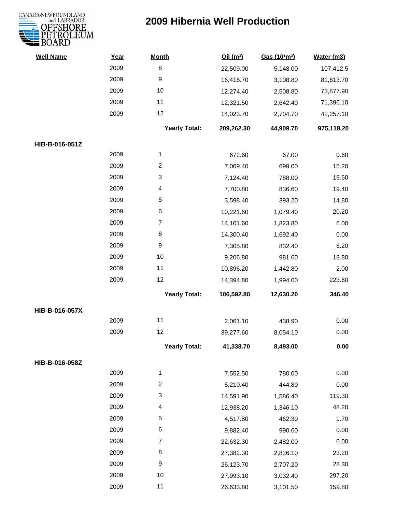

| <b>Well Name</b> | Year | <b>Month</b>         | Oil(m <sup>3</sup> ) | Gas (103m3) | Water (m3) |
|------------------|------|----------------------|----------------------|-------------|------------|
|                  | 2009 | $\,8\,$              | 22,509.00            | 5,148.00    | 107,412.5  |
|                  | 2009 | $\boldsymbol{9}$     | 16,416.70            | 3,108.80    | 81,613.70  |
|                  | 2009 | 10                   | 12,274.40            | 2,508.80    | 73,877.90  |
|                  | 2009 | 11                   | 12,321.50            | 2,642.40    | 71,396.10  |
|                  | 2009 | 12                   | 14,023.70            | 2,704.70    | 42,257.10  |
|                  |      | <b>Yearly Total:</b> | 209,262.30           | 44,909.70   | 975,118.20 |
| HIB-B-016-051Z   |      |                      |                      |             |            |
|                  | 2009 | 1                    | 672.60               | 67.00       | 0.60       |
|                  | 2009 | $\overline{c}$       | 7,069.40             | 699.00      | 15.20      |
|                  | 2009 | 3                    | 7,124.40             | 788.00      | 19.60      |
|                  | 2009 | 4                    | 7,700.80             | 836.60      | 19.40      |
|                  | 2009 | 5                    | 3,598.40             | 393.20      | 14.80      |
|                  | 2009 | 6                    | 10,221.60            | 1,079.40    | 20.20      |
|                  | 2009 | $\overline{7}$       | 14,101.60            | 1,823.80    | 6.00       |
|                  | 2009 | 8                    | 14,300.40            | 1,692.40    | 0.00       |
|                  | 2009 | $\boldsymbol{9}$     | 7,305.80             | 832.40      | 6.20       |
|                  | 2009 | 10                   | 9,206.80             | 981.60      | 18.80      |
|                  | 2009 | 11                   | 10,896.20            | 1,442.80    | 2.00       |
|                  | 2009 | 12                   | 14,394.80            | 1,994.00    | 223.60     |
|                  |      | <b>Yearly Total:</b> | 106,592.80           | 12,630.20   | 346.40     |
| HIB-B-016-057X   |      |                      |                      |             |            |
|                  | 2009 | 11                   | 2,061.10             | 438.90      | 0.00       |
|                  | 2009 | 12                   | 39,277.60            | 8,054.10    | 0.00       |
|                  |      | <b>Yearly Total:</b> | 41,338.70            | 8,493.00    | 0.00       |
| HIB-B-016-058Z   |      |                      |                      |             |            |
|                  | 2009 | $\mathbf{1}$         | 7,552.50             | 780.00      | 0.00       |
|                  | 2009 | $\overline{2}$       | 5,210.40             | 444.80      | 0.00       |
|                  | 2009 | 3                    | 14,591.90            | 1,586.40    | 119.30     |
|                  | 2009 | 4                    | 12,938.20            | 1,346.10    | 48.20      |
|                  | 2009 | 5                    | 4,517.80             | 462.30      | 1.70       |
|                  | 2009 | 6                    | 9,882.40             | 990.60      | 0.00       |
|                  | 2009 | $\overline{7}$       | 22,632.30            | 2,482.00    | 0.00       |
|                  | 2009 | 8                    | 27,382.30            | 2,826.10    | 23.20      |
|                  | 2009 | 9                    | 26,123.70            | 2,707.20    | 28.30      |
|                  | 2009 | 10                   | 27,993.10            | 3,032.40    | 297.20     |
|                  | 2009 | 11                   | 26,633.80            | 3,101.50    | 159.80     |